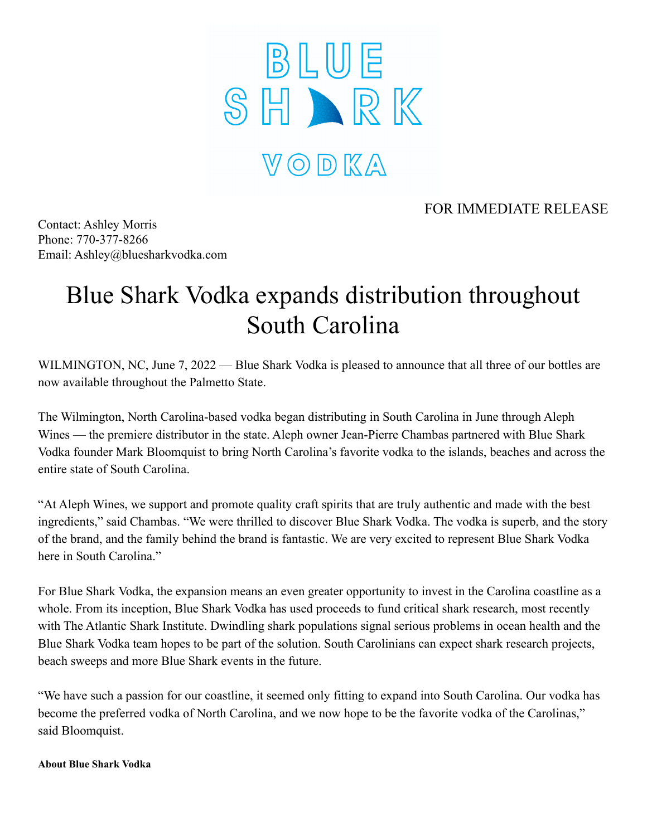

## FOR IMMEDIATE RELEASE

Contact: Ashley Morris Phone: 770-377-8266 Email: Ashley@bluesharkvodka.com

## Blue Shark Vodka expands distribution throughout South Carolina

WILMINGTON, NC, June 7, 2022 — Blue Shark Vodka is pleased to announce that all three of our bottles are now available throughout the Palmetto State.

The Wilmington, North Carolina-based vodka began distributing in South Carolina in June through Aleph Wines — the premiere distributor in the state. Aleph owner Jean-Pierre Chambas partnered with Blue Shark Vodka founder Mark Bloomquist to bring North Carolina's favorite vodka to the islands, beaches and across the entire state of South Carolina.

"At Aleph Wines, we support and promote quality craft spirits that are truly authentic and made with the best ingredients," said Chambas. "We were thrilled to discover Blue Shark Vodka. The vodka is superb, and the story of the brand, and the family behind the brand is fantastic. We are very excited to represent Blue Shark Vodka here in South Carolina."

For Blue Shark Vodka, the expansion means an even greater opportunity to invest in the Carolina coastline as a whole. From its inception, Blue Shark Vodka has used proceeds to fund critical shark research, most recently with The Atlantic Shark Institute. Dwindling shark populations signal serious problems in ocean health and the Blue Shark Vodka team hopes to be part of the solution. South Carolinians can expect shark research projects, beach sweeps and more Blue Shark events in the future.

"We have such a passion for our coastline, it seemed only fitting to expand into South Carolina. Our vodka has become the preferred vodka of North Carolina, and we now hope to be the favorite vodka of the Carolinas," said Bloomquist.

**About Blue Shark Vodka**